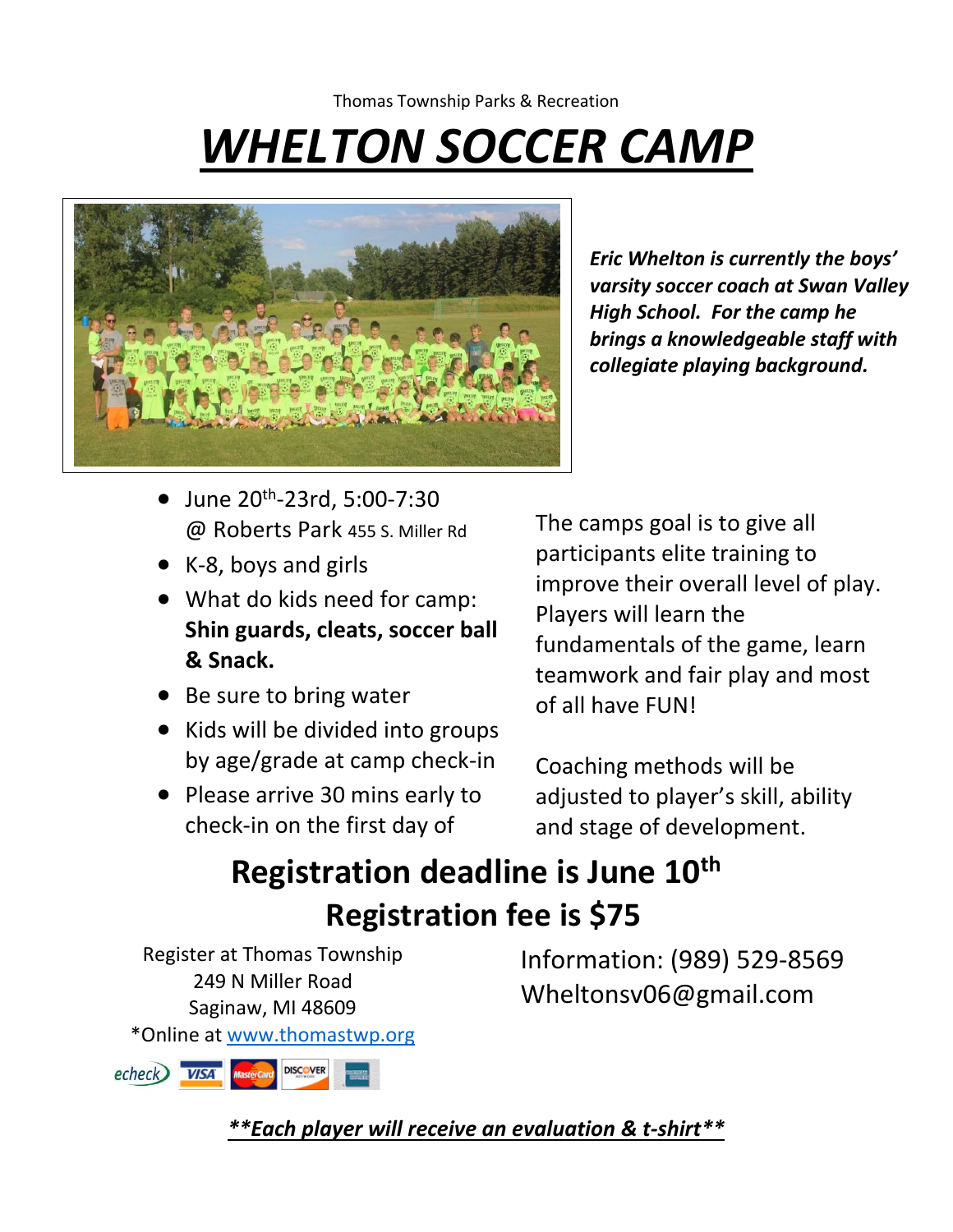## Thomas Township Parks & Recreation *WHELTON SOCCER CAMP*



*Eric Whelton is currently the boys' varsity soccer coach at Swan Valley High School. For the camp he brings a knowledgeable staff with collegiate playing background.* 

- $\bullet$  June 20<sup>th</sup>-23rd, 5:00-7:30 @ Roberts Park 455 S. Miller Rd
- K-8, boys and girls
- What do kids need for camp: **Shin guards, cleats, soccer ball & Snack.**
- Be sure to bring water
- Kids will be divided into groups by age/grade at camp check-in
- Please arrive 30 mins early to check-in on the first day of

The camps goal is to give all participants elite training to improve their overall level of play. Players will learn the fundamentals of the game, learn teamwork and fair play and most of all have FUN!

Coaching methods will be adjusted to player's skill, ability and stage of development.

## Registration deadline is June 10<sup>th</sup>  **Registration fee is \$75**

Register at Thomas Township 249 N Miller Road Saginaw, MI 48609 \*Online at [www.thomastwp.org](http://www.thomastwp.org/)



Information: (989) 529-8569 Wheltonsv06@gmail.com

*\*\*Each player will receive an evaluation & t-shirt\*\**